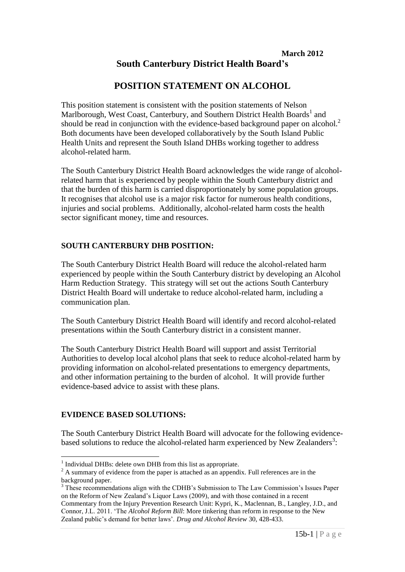## **March 2012 South Canterbury District Health Board's**

# **POSITION STATEMENT ON ALCOHOL**

This position statement is consistent with the position statements of Nelson Marlborough, West Coast, Canterbury, and Southern District Health Boards<sup>1</sup> and should be read in conjunction with the evidence-based background paper on alcohol. $2$ Both documents have been developed collaboratively by the South Island Public Health Units and represent the South Island DHBs working together to address alcohol-related harm.

The South Canterbury District Health Board acknowledges the wide range of alcoholrelated harm that is experienced by people within the South Canterbury district and that the burden of this harm is carried disproportionately by some population groups. It recognises that alcohol use is a major risk factor for numerous health conditions, injuries and social problems. Additionally, alcohol-related harm costs the health sector significant money, time and resources.

## **SOUTH CANTERBURY DHB POSITION:**

The South Canterbury District Health Board will reduce the alcohol-related harm experienced by people within the South Canterbury district by developing an Alcohol Harm Reduction Strategy. This strategy will set out the actions South Canterbury District Health Board will undertake to reduce alcohol-related harm, including a communication plan.

The South Canterbury District Health Board will identify and record alcohol-related presentations within the South Canterbury district in a consistent manner.

The South Canterbury District Health Board will support and assist Territorial Authorities to develop local alcohol plans that seek to reduce alcohol-related harm by providing information on alcohol-related presentations to emergency departments, and other information pertaining to the burden of alcohol. It will provide further evidence-based advice to assist with these plans.

## **EVIDENCE BASED SOLUTIONS:**

The South Canterbury District Health Board will advocate for the following evidencebased solutions to reduce the alcohol-related harm experienced by New Zealanders<sup>3</sup>:

<sup>1</sup> <sup>1</sup> Individual DHBs: delete own DHB from this list as appropriate.

<sup>&</sup>lt;sup>2</sup> A summary of evidence from the paper is attached as an appendix. Full references are in the background paper.

<sup>&</sup>lt;sup>3</sup> These recommendations align with the CDHB's Submission to The Law Commission's Issues Paper on the Reform of New Zealand's Liquor Laws (2009), and with those contained in a recent Commentary from the Injury Prevention Research Unit: Kypri, K., Maclennan, B., Langley, J.D., and Connor, J.L. 2011. 'The *Alcohol Reform Bill*: More tinkering than reform in response to the New Zealand public's demand for better laws'. *Drug and Alcohol Review* 30, 428-433.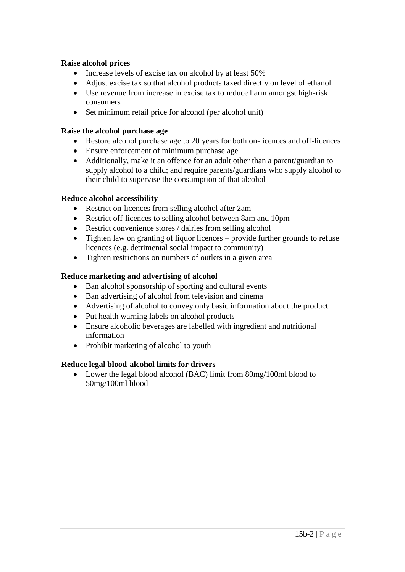### **Raise alcohol prices**

- Increase levels of excise tax on alcohol by at least 50%
- Adjust excise tax so that alcohol products taxed directly on level of ethanol
- Use revenue from increase in excise tax to reduce harm amongst high-risk consumers
- Set minimum retail price for alcohol (per alcohol unit)

## **Raise the alcohol purchase age**

- Restore alcohol purchase age to 20 years for both on-licences and off-licences
- Ensure enforcement of minimum purchase age
- Additionally, make it an offence for an adult other than a parent/guardian to supply alcohol to a child; and require parents/guardians who supply alcohol to their child to supervise the consumption of that alcohol

## **Reduce alcohol accessibility**

- Restrict on-licences from selling alcohol after 2am
- Restrict off-licences to selling alcohol between 8am and 10pm
- Restrict convenience stores / dairies from selling alcohol
- Tighten law on granting of liquor licences provide further grounds to refuse licences (e.g. detrimental social impact to community)
- Tighten restrictions on numbers of outlets in a given area

## **Reduce marketing and advertising of alcohol**

- Ban alcohol sponsorship of sporting and cultural events
- Ban advertising of alcohol from television and cinema
- Advertising of alcohol to convey only basic information about the product
- Put health warning labels on alcohol products
- Ensure alcoholic beverages are labelled with ingredient and nutritional information
- Prohibit marketing of alcohol to youth

## **Reduce legal blood-alcohol limits for drivers**

 Lower the legal blood alcohol (BAC) limit from 80mg/100ml blood to 50mg/100ml blood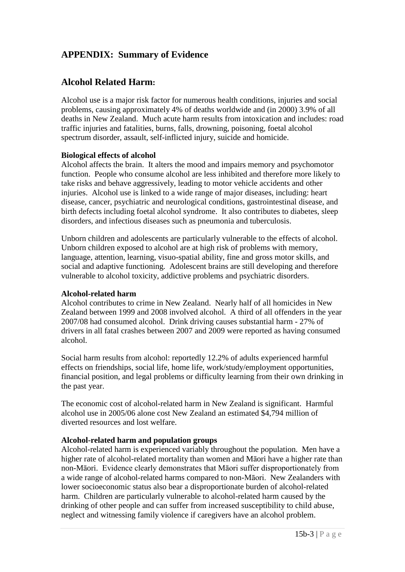# **APPENDIX: Summary of Evidence**

# **Alcohol Related Harm:**

Alcohol use is a major risk factor for numerous health conditions, injuries and social problems, causing approximately 4% of deaths worldwide and (in 2000) 3.9% of all deaths in New Zealand. Much acute harm results from intoxication and includes: road traffic injuries and fatalities, burns, falls, drowning, poisoning, foetal alcohol spectrum disorder, assault, self-inflicted injury, suicide and homicide.

### **Biological effects of alcohol**

Alcohol affects the brain. It alters the mood and impairs memory and psychomotor function. People who consume alcohol are less inhibited and therefore more likely to take risks and behave aggressively, leading to motor vehicle accidents and other injuries. Alcohol use is linked to a wide range of major diseases, including: heart disease, cancer, psychiatric and neurological conditions, gastrointestinal disease, and birth defects including foetal alcohol syndrome. It also contributes to diabetes, sleep disorders, and infectious diseases such as pneumonia and tuberculosis.

Unborn children and adolescents are particularly vulnerable to the effects of alcohol. Unborn children exposed to alcohol are at high risk of problems with memory, language, attention, learning, visuo-spatial ability, fine and gross motor skills, and social and adaptive functioning. Adolescent brains are still developing and therefore vulnerable to alcohol toxicity, addictive problems and psychiatric disorders.

### **Alcohol-related harm**

Alcohol contributes to crime in New Zealand. Nearly half of all homicides in New Zealand between 1999 and 2008 involved alcohol. A third of all offenders in the year 2007/08 had consumed alcohol. Drink driving causes substantial harm - 27% of drivers in all fatal crashes between 2007 and 2009 were reported as having consumed alcohol.

Social harm results from alcohol: reportedly 12.2% of adults experienced harmful effects on friendships, social life, home life, work/study/employment opportunities, financial position, and legal problems or difficulty learning from their own drinking in the past year.

The economic cost of alcohol-related harm in New Zealand is significant. Harmful alcohol use in 2005/06 alone cost New Zealand an estimated \$4,794 million of diverted resources and lost welfare.

### **Alcohol-related harm and population groups**

Alcohol-related harm is experienced variably throughout the population. Men have a higher rate of alcohol-related mortality than women and Māori have a higher rate than non-Māori. Evidence clearly demonstrates that Māori suffer disproportionately from a wide range of alcohol-related harms compared to non-Māori. New Zealanders with lower socioeconomic status also bear a disproportionate burden of alcohol-related harm. Children are particularly vulnerable to alcohol-related harm caused by the drinking of other people and can suffer from increased susceptibility to child abuse, neglect and witnessing family violence if caregivers have an alcohol problem.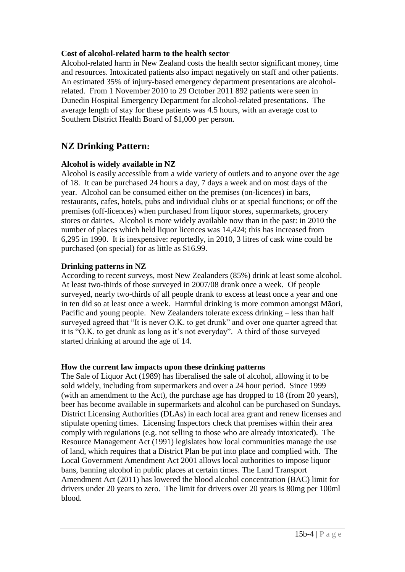### **Cost of alcohol-related harm to the health sector**

Alcohol-related harm in New Zealand costs the health sector significant money, time and resources. Intoxicated patients also impact negatively on staff and other patients. An estimated 35% of injury-based emergency department presentations are alcoholrelated. From 1 November 2010 to 29 October 2011 892 patients were seen in Dunedin Hospital Emergency Department for alcohol-related presentations. The average length of stay for these patients was 4.5 hours, with an average cost to Southern District Health Board of \$1,000 per person.

# **NZ Drinking Pattern:**

### **Alcohol is widely available in NZ**

Alcohol is easily accessible from a wide variety of outlets and to anyone over the age of 18. It can be purchased 24 hours a day, 7 days a week and on most days of the year. Alcohol can be consumed either on the premises (on-licences) in bars, restaurants, cafes, hotels, pubs and individual clubs or at special functions; or off the premises (off-licences) when purchased from liquor stores, supermarkets, grocery stores or dairies. Alcohol is more widely available now than in the past: in 2010 the number of places which held liquor licences was 14,424; this has increased from 6,295 in 1990. It is inexpensive: reportedly, in 2010, 3 litres of cask wine could be purchased (on special) for as little as \$16.99.

#### **Drinking patterns in NZ**

According to recent surveys, most New Zealanders (85%) drink at least some alcohol. At least two-thirds of those surveyed in 2007/08 drank once a week. Of people surveyed, nearly two-thirds of all people drank to excess at least once a year and one in ten did so at least once a week. Harmful drinking is more common amongst Māori, Pacific and young people. New Zealanders tolerate excess drinking – less than half surveyed agreed that "It is never O.K. to get drunk" and over one quarter agreed that it is "O.K. to get drunk as long as it's not everyday". A third of those surveyed started drinking at around the age of 14.

#### **How the current law impacts upon these drinking patterns**

The Sale of Liquor Act (1989) has liberalised the sale of alcohol, allowing it to be sold widely, including from supermarkets and over a 24 hour period. Since 1999 (with an amendment to the Act), the purchase age has dropped to 18 (from 20 years), beer has become available in supermarkets and alcohol can be purchased on Sundays. District Licensing Authorities (DLAs) in each local area grant and renew licenses and stipulate opening times. Licensing Inspectors check that premises within their area comply with regulations (e.g. not selling to those who are already intoxicated). The Resource Management Act (1991) legislates how local communities manage the use of land, which requires that a District Plan be put into place and complied with. The Local Government Amendment Act 2001 allows local authorities to impose liquor bans, banning alcohol in public places at certain times. The Land Transport Amendment Act (2011) has lowered the blood alcohol concentration (BAC) limit for drivers under 20 years to zero. The limit for drivers over 20 years is 80mg per 100ml blood.